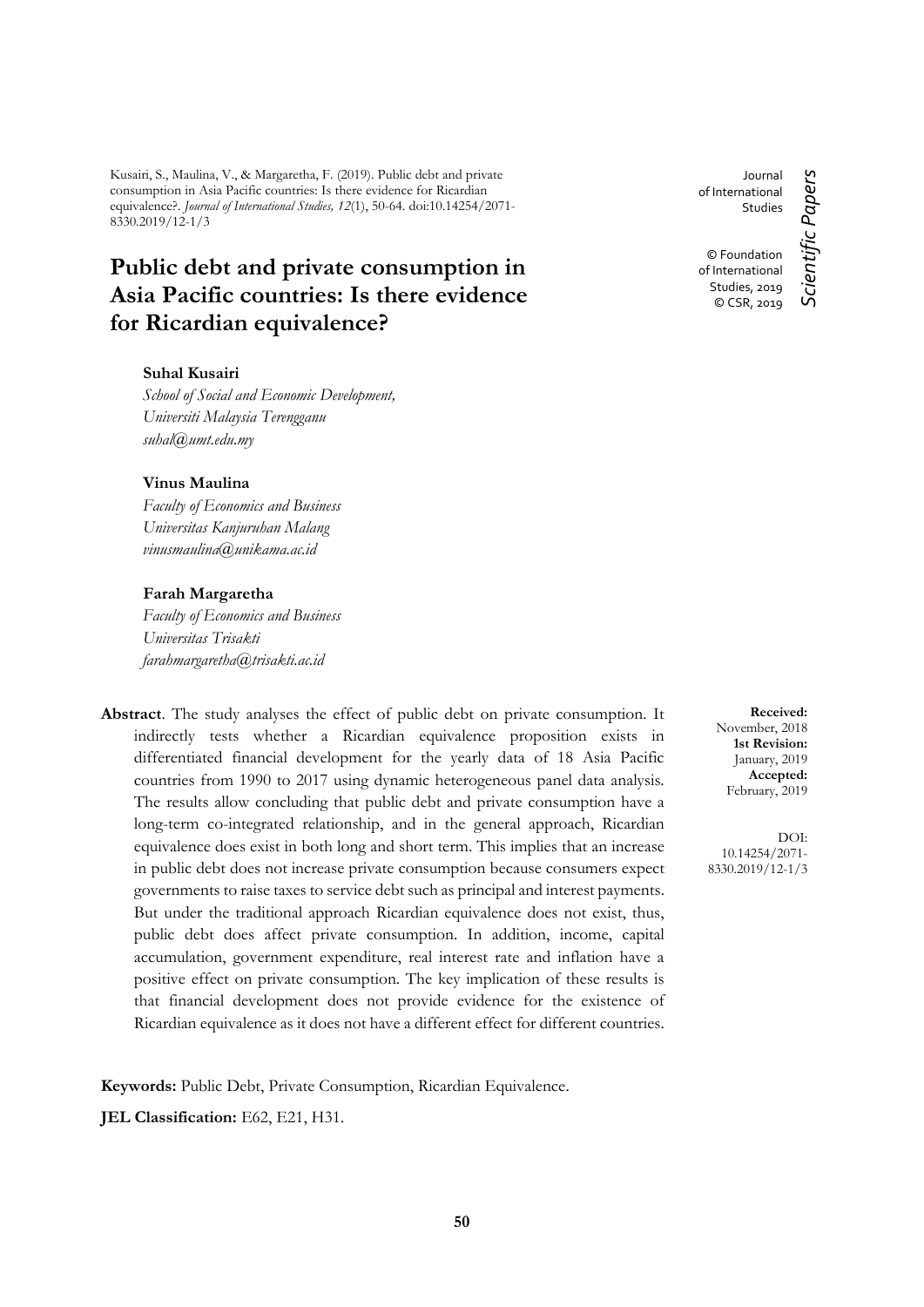Kusairi, S., Maulina, V., & Margaretha, F. (2019). Public debt and private consumption in Asia Pacific countries: Is there evidence for Ricardian equivalence?. *Journal of International Studies, 12*(1), 50-64. doi:10.14254/2071- 8330.2019/12-1/3

# **Public debt and private consumption in Asia Pacific countries: Is there evidence for Ricardian equivalence?**

## **Suhal Kusairi**

*School of Social and Economic Development, Universiti Malaysia Terengganu suhal@umt.edu.my*

### **Vinus Maulina**

*Faculty of Economics and Business Universitas Kanjuruhan Malang vinusmaulina@unikama.ac.id*

#### **Farah Margaretha**

*Faculty of Economics and Business Universitas Trisakti farahmargaretha@trisakti.ac.id*

**Abstract**. The study analyses the effect of public debt on private consumption. It indirectly tests whether a Ricardian equivalence proposition exists in differentiated financial development for the yearly data of 18 Asia Pacific countries from 1990 to 2017 using dynamic heterogeneous panel data analysis. The results allow concluding that public debt and private consumption have a long-term co-integrated relationship, and in the general approach, Ricardian equivalence does exist in both long and short term. This implies that an increase in public debt does not increase private consumption because consumers expect governments to raise taxes to service debt such as principal and interest payments. But under the traditional approach Ricardian equivalence does not exist, thus, public debt does affect private consumption. In addition, income, capital accumulation, government expenditure, real interest rate and inflation have a positive effect on private consumption. The key implication of these results is that financial development does not provide evidence for the existence of Ricardian equivalence as it does not have a different effect for different countries.

**Keywords:** Public Debt, Private Consumption, Ricardian Equivalence.

**JEL Classification:** E62, E21, H31.

Journal of International Studies © Foundation of International

Scientific Papers *Scientific Papers* Studies, 2019 © CSR, 2019

**Received:** November, 2018 **1st Revision:** January, 2019 **Accepted:** February, 2019

DOI: 10.14254/2071- 8330.2019/12-1/3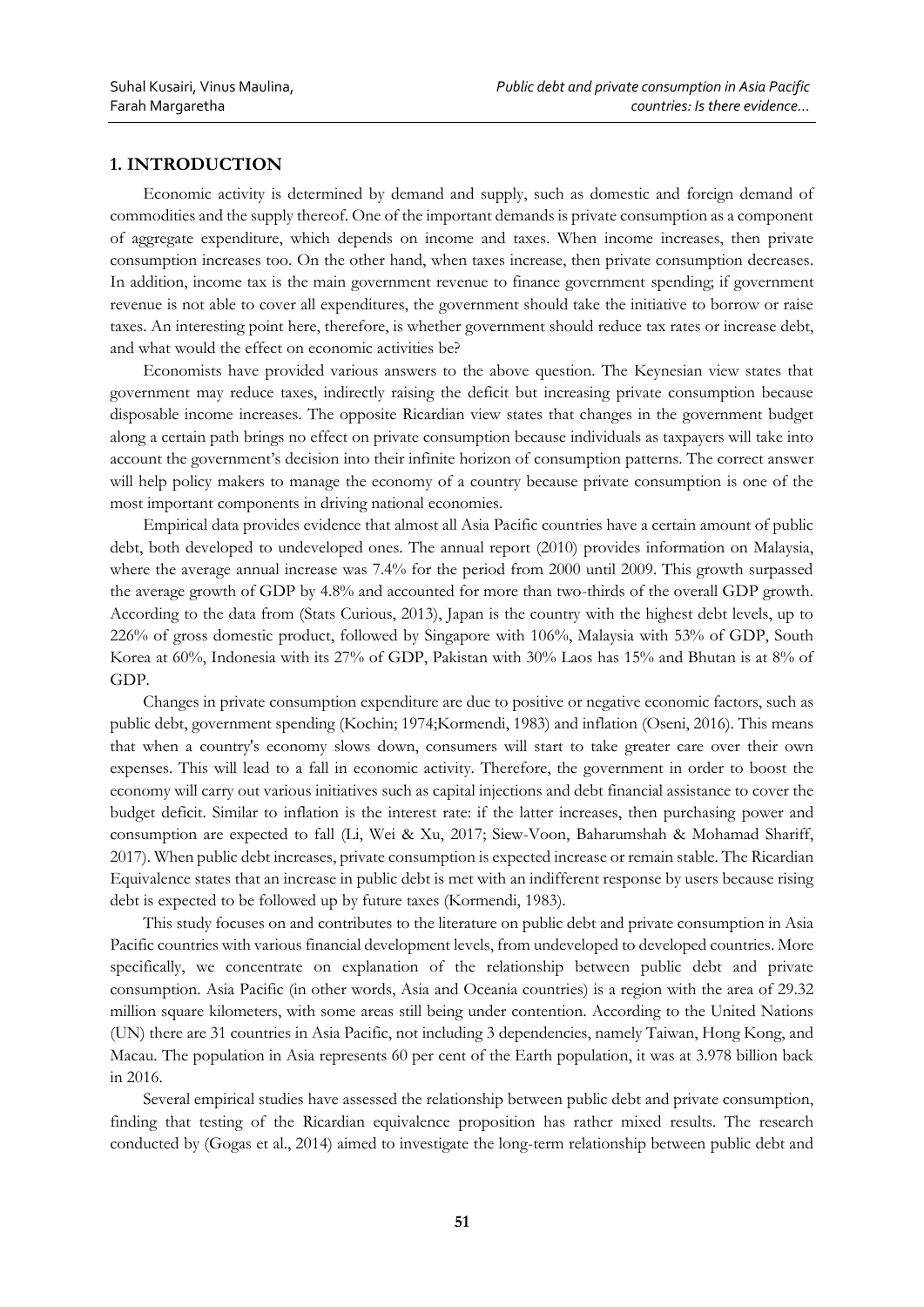## **1. INTRODUCTION**

Economic activity is determined by demand and supply, such as domestic and foreign demand of commodities and the supply thereof. One of the important demands is private consumption as a component of aggregate expenditure, which depends on income and taxes. When income increases, then private consumption increases too. On the other hand, when taxes increase, then private consumption decreases. In addition, income tax is the main government revenue to finance government spending; if government revenue is not able to cover all expenditures, the government should take the initiative to borrow or raise taxes. An interesting point here, therefore, is whether government should reduce tax rates or increase debt, and what would the effect on economic activities be?

Economists have provided various answers to the above question. The Keynesian view states that government may reduce taxes, indirectly raising the deficit but increasing private consumption because disposable income increases. The opposite Ricardian view states that changes in the government budget along a certain path brings no effect on private consumption because individuals as taxpayers will take into account the government's decision into their infinite horizon of consumption patterns. The correct answer will help policy makers to manage the economy of a country because private consumption is one of the most important components in driving national economies.

Empirical data provides evidence that almost all Asia Pacific countries have a certain amount of public debt, both developed to undeveloped ones. The annual report (2010) provides information on Malaysia, where the average annual increase was 7.4% for the period from 2000 until 2009. This growth surpassed the average growth of GDP by 4.8% and accounted for more than two-thirds of the overall GDP growth. According to the data from (Stats Curious, 2013), Japan is the country with the highest debt levels, up to 226% of gross domestic product, followed by Singapore with 106%, Malaysia with 53% of GDP, South Korea at 60%, Indonesia with its 27% of GDP, Pakistan with 30% Laos has 15% and Bhutan is at 8% of GDP.

Changes in private consumption expenditure are due to positive or negative economic factors, such as public debt, government spending (Kochin; 1974;Kormendi, 1983) and inflation (Oseni, 2016). This means that when a country's economy slows down, consumers will start to take greater care over their own expenses. This will lead to a fall in economic activity. Therefore, the government in order to boost the economy will carry out various initiatives such as capital injections and debt financial assistance to cover the budget deficit. Similar to inflation is the interest rate: if the latter increases, then purchasing power and consumption are expected to fall (Li, Wei & Xu, 2017; Siew-Voon, Baharumshah & Mohamad Shariff, 2017). When public debt increases, private consumption is expected increase or remain stable. The Ricardian Equivalence states that an increase in public debt is met with an indifferent response by users because rising debt is expected to be followed up by future taxes (Kormendi, 1983).

This study focuses on and contributes to the literature on public debt and private consumption in Asia Pacific countries with various financial development levels, from undeveloped to developed countries. More specifically, we concentrate on explanation of the relationship between public debt and private consumption. Asia Pacific (in other words, Asia and Oceania countries) is a region with the area of 29.32 million square kilometers, with some areas still being under contention. According to the United Nations (UN) there are 31 countries in Asia Pacific, not including 3 dependencies, namely Taiwan, Hong Kong, and Macau. The population in Asia represents 60 per cent of the Earth population, it was at 3.978 billion back in 2016.

Several empirical studies have assessed the relationship between public debt and private consumption, finding that testing of the Ricardian equivalence proposition has rather mixed results. The research conducted by (Gogas et al., 2014) aimed to investigate the long-term relationship between public debt and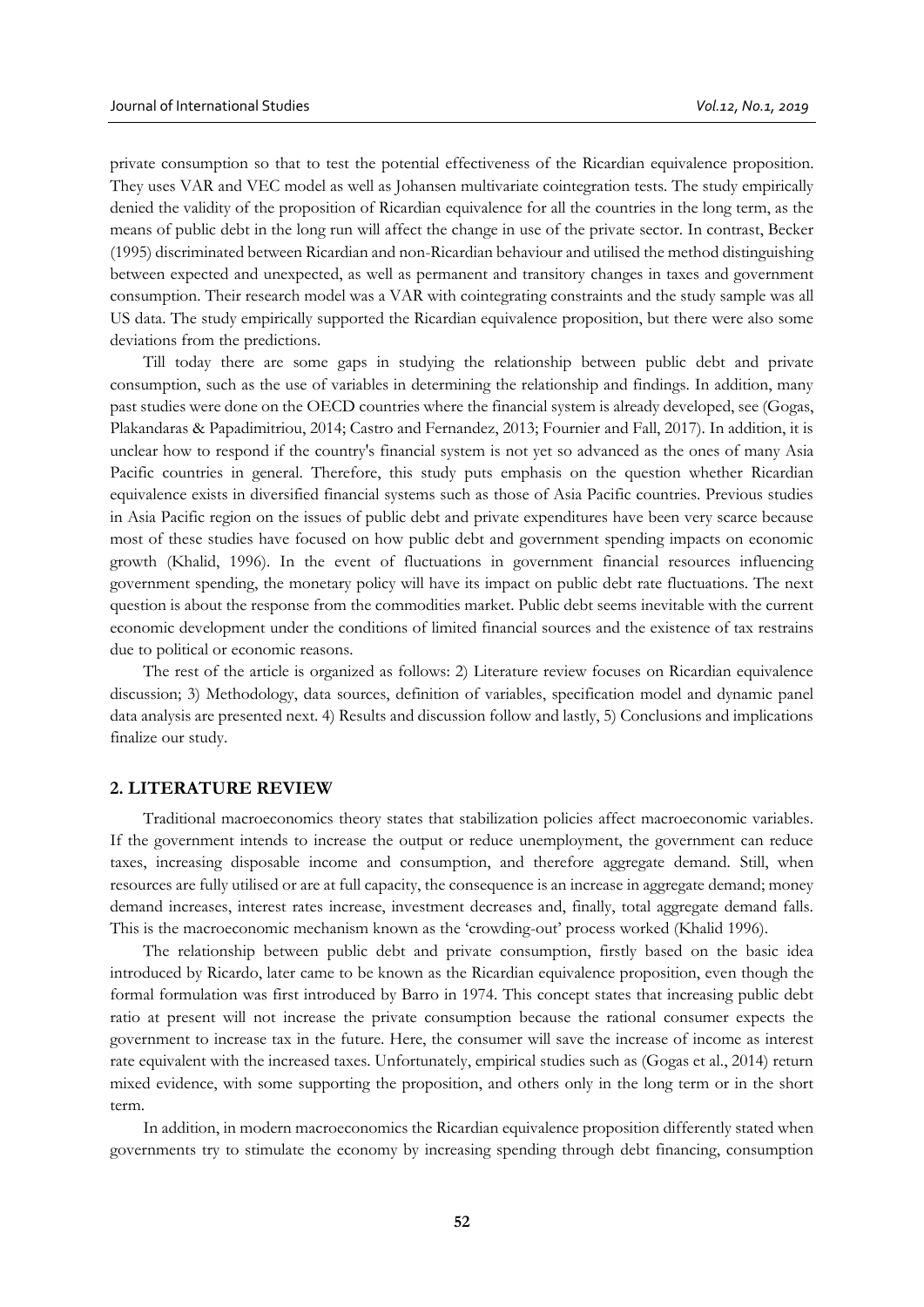private consumption so that to test the potential effectiveness of the Ricardian equivalence proposition. They uses VAR and VEC model as well as Johansen multivariate cointegration tests. The study empirically denied the validity of the proposition of Ricardian equivalence for all the countries in the long term, as the means of public debt in the long run will affect the change in use of the private sector. In contrast, Becker (1995) discriminated between Ricardian and non-Ricardian behaviour and utilised the method distinguishing between expected and unexpected, as well as permanent and transitory changes in taxes and government consumption. Their research model was a VAR with cointegrating constraints and the study sample was all US data. The study empirically supported the Ricardian equivalence proposition, but there were also some deviations from the predictions.

Till today there are some gaps in studying the relationship between public debt and private consumption, such as the use of variables in determining the relationship and findings. In addition, many past studies were done on the OECD countries where the financial system is already developed, see (Gogas, Plakandaras & Papadimitriou, 2014; Castro and Fernandez, 2013; Fournier and Fall, 2017). In addition, it is unclear how to respond if the country's financial system is not yet so advanced as the ones of many Asia Pacific countries in general. Therefore, this study puts emphasis on the question whether Ricardian equivalence exists in diversified financial systems such as those of Asia Pacific countries. Previous studies in Asia Pacific region on the issues of public debt and private expenditures have been very scarce because most of these studies have focused on how public debt and government spending impacts on economic growth (Khalid, 1996). In the event of fluctuations in government financial resources influencing government spending, the monetary policy will have its impact on public debt rate fluctuations. The next question is about the response from the commodities market. Public debt seems inevitable with the current economic development under the conditions of limited financial sources and the existence of tax restrains due to political or economic reasons.

The rest of the article is organized as follows: 2) Literature review focuses on Ricardian equivalence discussion; 3) Methodology, data sources, definition of variables, specification model and dynamic panel data analysis are presented next. 4) Results and discussion follow and lastly, 5) Conclusions and implications finalize our study.

## **2. LITERATURE REVIEW**

Traditional macroeconomics theory states that stabilization policies affect macroeconomic variables. If the government intends to increase the output or reduce unemployment, the government can reduce taxes, increasing disposable income and consumption, and therefore aggregate demand. Still, when resources are fully utilised or are at full capacity, the consequence is an increase in aggregate demand; money demand increases, interest rates increase, investment decreases and, finally, total aggregate demand falls. This is the macroeconomic mechanism known as the 'crowding-out' process worked (Khalid 1996).

The relationship between public debt and private consumption, firstly based on the basic idea introduced by Ricardo, later came to be known as the Ricardian equivalence proposition, even though the formal formulation was first introduced by Barro in 1974. This concept states that increasing public debt ratio at present will not increase the private consumption because the rational consumer expects the government to increase tax in the future. Here, the consumer will save the increase of income as interest rate equivalent with the increased taxes. Unfortunately, empirical studies such as (Gogas et al., 2014) return mixed evidence, with some supporting the proposition, and others only in the long term or in the short term.

In addition, in modern macroeconomics the Ricardian equivalence proposition differently stated when governments try to stimulate the economy by increasing spending through debt financing, consumption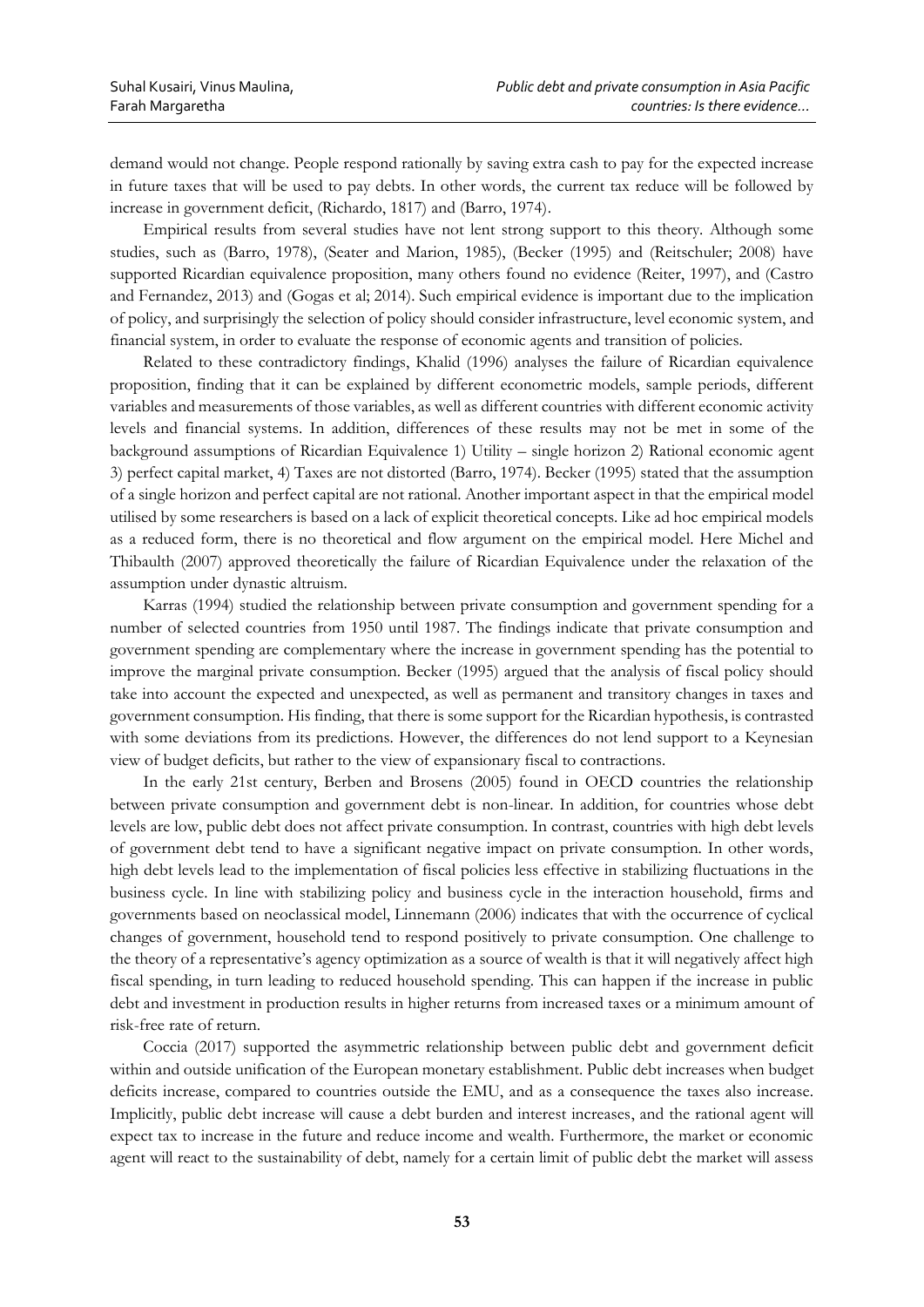demand would not change. People respond rationally by saving extra cash to pay for the expected increase in future taxes that will be used to pay debts. In other words, the current tax reduce will be followed by increase in government deficit, (Richardo, 1817) and (Barro, 1974).

Empirical results from several studies have not lent strong support to this theory. Although some studies, such as (Barro, 1978), (Seater and Marion, 1985), (Becker (1995) and (Reitschuler; 2008) have supported Ricardian equivalence proposition, many others found no evidence (Reiter, 1997), and (Castro and Fernandez, 2013) and (Gogas et al; 2014). Such empirical evidence is important due to the implication of policy, and surprisingly the selection of policy should consider infrastructure, level economic system, and financial system, in order to evaluate the response of economic agents and transition of policies.

Related to these contradictory findings, Khalid (1996) analyses the failure of Ricardian equivalence proposition, finding that it can be explained by different econometric models, sample periods, different variables and measurements of those variables, as well as different countries with different economic activity levels and financial systems. In addition, differences of these results may not be met in some of the background assumptions of Ricardian Equivalence 1) Utility – single horizon 2) Rational economic agent 3) perfect capital market, 4) Taxes are not distorted (Barro, 1974). Becker (1995) stated that the assumption of a single horizon and perfect capital are not rational. Another important aspect in that the empirical model utilised by some researchers is based on a lack of explicit theoretical concepts. Like ad hoc empirical models as a reduced form, there is no theoretical and flow argument on the empirical model. Here Michel and Thibaulth (2007) approved theoretically the failure of Ricardian Equivalence under the relaxation of the assumption under dynastic altruism.

Karras (1994) studied the relationship between private consumption and government spending for a number of selected countries from 1950 until 1987. The findings indicate that private consumption and government spending are complementary where the increase in government spending has the potential to improve the marginal private consumption. Becker (1995) argued that the analysis of fiscal policy should take into account the expected and unexpected, as well as permanent and transitory changes in taxes and government consumption. His finding, that there is some support for the Ricardian hypothesis, is contrasted with some deviations from its predictions. However, the differences do not lend support to a Keynesian view of budget deficits, but rather to the view of expansionary fiscal to contractions.

In the early 21st century, Berben and Brosens (2005) found in OECD countries the relationship between private consumption and government debt is non-linear. In addition, for countries whose debt levels are low, public debt does not affect private consumption. In contrast, countries with high debt levels of government debt tend to have a significant negative impact on private consumption. In other words, high debt levels lead to the implementation of fiscal policies less effective in stabilizing fluctuations in the business cycle. In line with stabilizing policy and business cycle in the interaction household, firms and governments based on neoclassical model, Linnemann (2006) indicates that with the occurrence of cyclical changes of government, household tend to respond positively to private consumption. One challenge to the theory of a representative's agency optimization as a source of wealth is that it will negatively affect high fiscal spending, in turn leading to reduced household spending. This can happen if the increase in public debt and investment in production results in higher returns from increased taxes or a minimum amount of risk-free rate of return.

Coccia (2017) supported the asymmetric relationship between public debt and government deficit within and outside unification of the European monetary establishment. Public debt increases when budget deficits increase, compared to countries outside the EMU, and as a consequence the taxes also increase. Implicitly, public debt increase will cause a debt burden and interest increases, and the rational agent will expect tax to increase in the future and reduce income and wealth. Furthermore, the market or economic agent will react to the sustainability of debt, namely for a certain limit of public debt the market will assess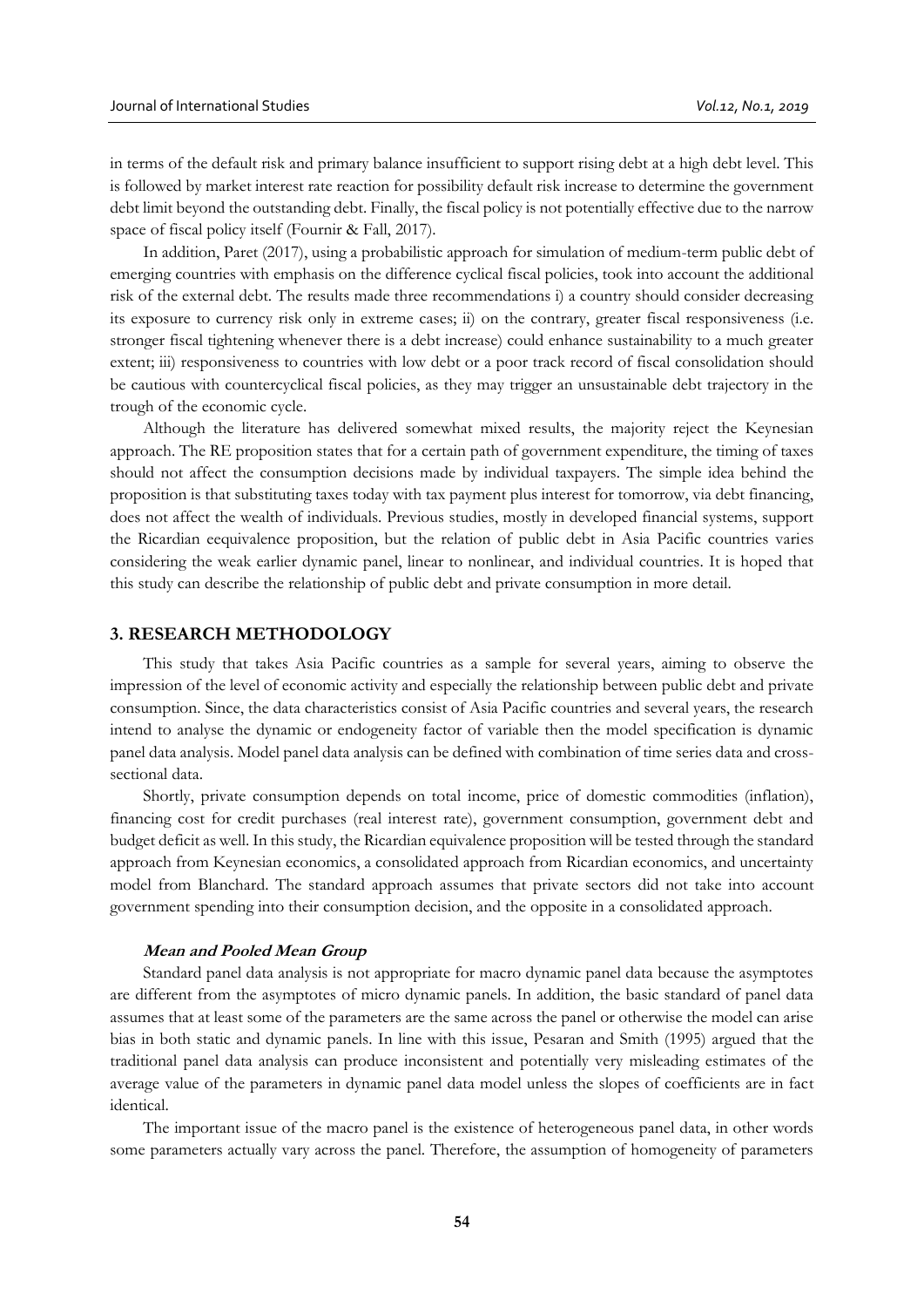in terms of the default risk and primary balance insufficient to support rising debt at a high debt level. This is followed by market interest rate reaction for possibility default risk increase to determine the government debt limit beyond the outstanding debt. Finally, the fiscal policy is not potentially effective due to the narrow space of fiscal policy itself (Fournir & Fall, 2017).

In addition, Paret (2017), using a probabilistic approach for simulation of medium-term public debt of emerging countries with emphasis on the difference cyclical fiscal policies, took into account the additional risk of the external debt. The results made three recommendations i) a country should consider decreasing its exposure to currency risk only in extreme cases; ii) on the contrary, greater fiscal responsiveness (i.e. stronger fiscal tightening whenever there is a debt increase) could enhance sustainability to a much greater extent; iii) responsiveness to countries with low debt or a poor track record of fiscal consolidation should be cautious with countercyclical fiscal policies, as they may trigger an unsustainable debt trajectory in the trough of the economic cycle.

Although the literature has delivered somewhat mixed results, the majority reject the Keynesian approach. The RE proposition states that for a certain path of government expenditure, the timing of taxes should not affect the consumption decisions made by individual taxpayers. The simple idea behind the proposition is that substituting taxes today with tax payment plus interest for tomorrow, via debt financing, does not affect the wealth of individuals. Previous studies, mostly in developed financial systems, support the Ricardian eequivalence proposition, but the relation of public debt in Asia Pacific countries varies considering the weak earlier dynamic panel, linear to nonlinear, and individual countries. It is hoped that this study can describe the relationship of public debt and private consumption in more detail.

#### **3. RESEARCH METHODOLOGY**

This study that takes Asia Pacific countries as a sample for several years, aiming to observe the impression of the level of economic activity and especially the relationship between public debt and private consumption. Since, the data characteristics consist of Asia Pacific countries and several years, the research intend to analyse the dynamic or endogeneity factor of variable then the model specification is dynamic panel data analysis. Model panel data analysis can be defined with combination of time series data and crosssectional data.

Shortly, private consumption depends on total income, price of domestic commodities (inflation), financing cost for credit purchases (real interest rate), government consumption, government debt and budget deficit as well. In this study, the Ricardian equivalence proposition will be tested through the standard approach from Keynesian economics, a consolidated approach from Ricardian economics, and uncertainty model from Blanchard. The standard approach assumes that private sectors did not take into account government spending into their consumption decision, and the opposite in a consolidated approach.

#### **Mean and Pooled Mean Group**

Standard panel data analysis is not appropriate for macro dynamic panel data because the asymptotes are different from the asymptotes of micro dynamic panels. In addition, the basic standard of panel data assumes that at least some of the parameters are the same across the panel or otherwise the model can arise bias in both static and dynamic panels. In line with this issue, Pesaran and Smith (1995) argued that the traditional panel data analysis can produce inconsistent and potentially very misleading estimates of the average value of the parameters in dynamic panel data model unless the slopes of coefficients are in fact identical.

The important issue of the macro panel is the existence of heterogeneous panel data, in other words some parameters actually vary across the panel. Therefore, the assumption of homogeneity of parameters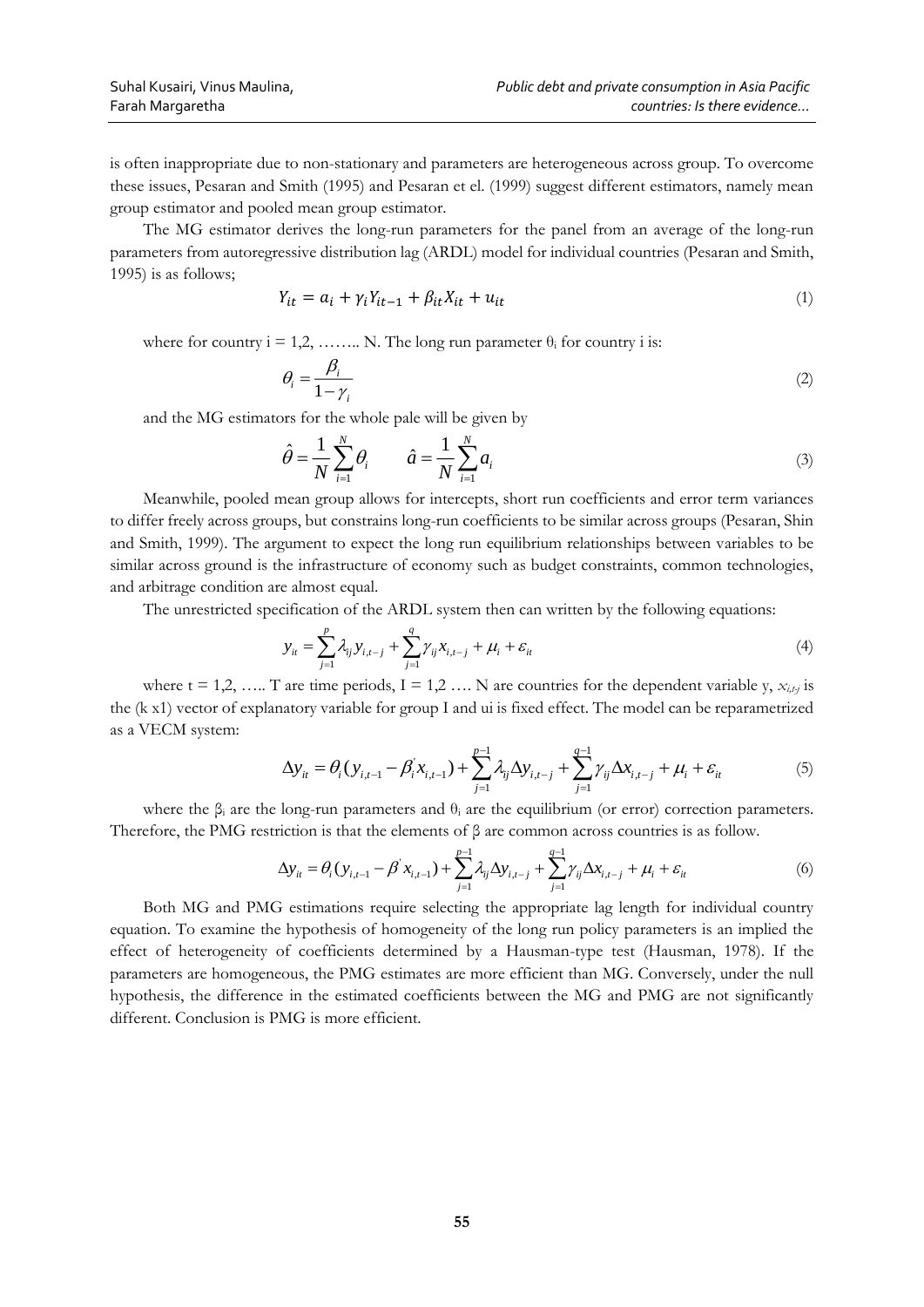is often inappropriate due to non-stationary and parameters are heterogeneous across group. To overcome these issues, Pesaran and Smith (1995) and Pesaran et el. (1999) suggest different estimators, namely mean group estimator and pooled mean group estimator.

The MG estimator derives the long-run parameters for the panel from an average of the long-run parameters from autoregressive distribution lag (ARDL) model for individual countries (Pesaran and Smith, 1995) is as follows;

$$
Y_{it} = a_i + \gamma_i Y_{it-1} + \beta_{it} X_{it} + u_{it}
$$
\n<sup>(1)</sup>

where for country  $i = 1, 2, \ldots, N$ . The long run parameter  $\theta_i$  for country i is:

$$
\theta_i = \frac{\beta_i}{1 - \gamma_i} \tag{2}
$$

and the MG estimators for the whole pale will be given by

$$
\hat{\theta} = \frac{1}{N} \sum_{i=1}^{N} \theta_i \qquad \hat{a} = \frac{1}{N} \sum_{i=1}^{N} a_i
$$
\n(3)

Meanwhile, pooled mean group allows for intercepts, short run coefficients and error term variances to differ freely across groups, but constrains long-run coefficients to be similar across groups (Pesaran, Shin and Smith, 1999). The argument to expect the long run equilibrium relationships between variables to be similar across ground is the infrastructure of economy such as budget constraints, common technologies, and arbitrage condition are almost equal.

The unrestricted specification of the ARDL system then can written by the following equations:

$$
y_{it} = \sum_{j=1}^{p} \lambda_{ij} y_{i,t-j} + \sum_{j=1}^{q} \gamma_{ij} x_{i,t-j} + \mu_i + \varepsilon_{it}
$$
\n(4)

where  $t = 1,2, \ldots$  T are time periods,  $I = 1,2 \ldots N$  are countries for the dependent variable y,  $x_{i,tj}$  is the (k x1) vector of explanatory variable for group I and ui is fixed effect. The model can be reparametrized as a VECM system:

$$
\Delta y_{it} = \theta_i (y_{i,t-1} - \beta_i x_{i,t-1}) + \sum_{j=1}^{p-1} \lambda_{ij} \Delta y_{i,t-j} + \sum_{j=1}^{q-1} \gamma_{ij} \Delta x_{i,t-j} + \mu_i + \varepsilon_{it}
$$
(5)

where the  $\beta_i$  are the long-run parameters and  $\theta_i$  are the equilibrium (or error) correction parameters. Therefore, the PMG restriction is that the elements of β are common across countries is as follow.

$$
\Delta y_{it} = \theta_i (y_{i,t-1} - \beta' x_{i,t-1}) + \sum_{j=1}^{p-1} \lambda_j \Delta y_{i,t-j} + \sum_{j=1}^{q-1} \gamma_j \Delta x_{i,t-j} + \mu_i + \varepsilon_{it}
$$
(6)

Both MG and PMG estimations require selecting the appropriate lag length for individual country equation. To examine the hypothesis of homogeneity of the long run policy parameters is an implied the effect of heterogeneity of coefficients determined by a Hausman-type test (Hausman, 1978). If the parameters are homogeneous, the PMG estimates are more efficient than MG. Conversely, under the null hypothesis, the difference in the estimated coefficients between the MG and PMG are not significantly different. Conclusion is PMG is more efficient.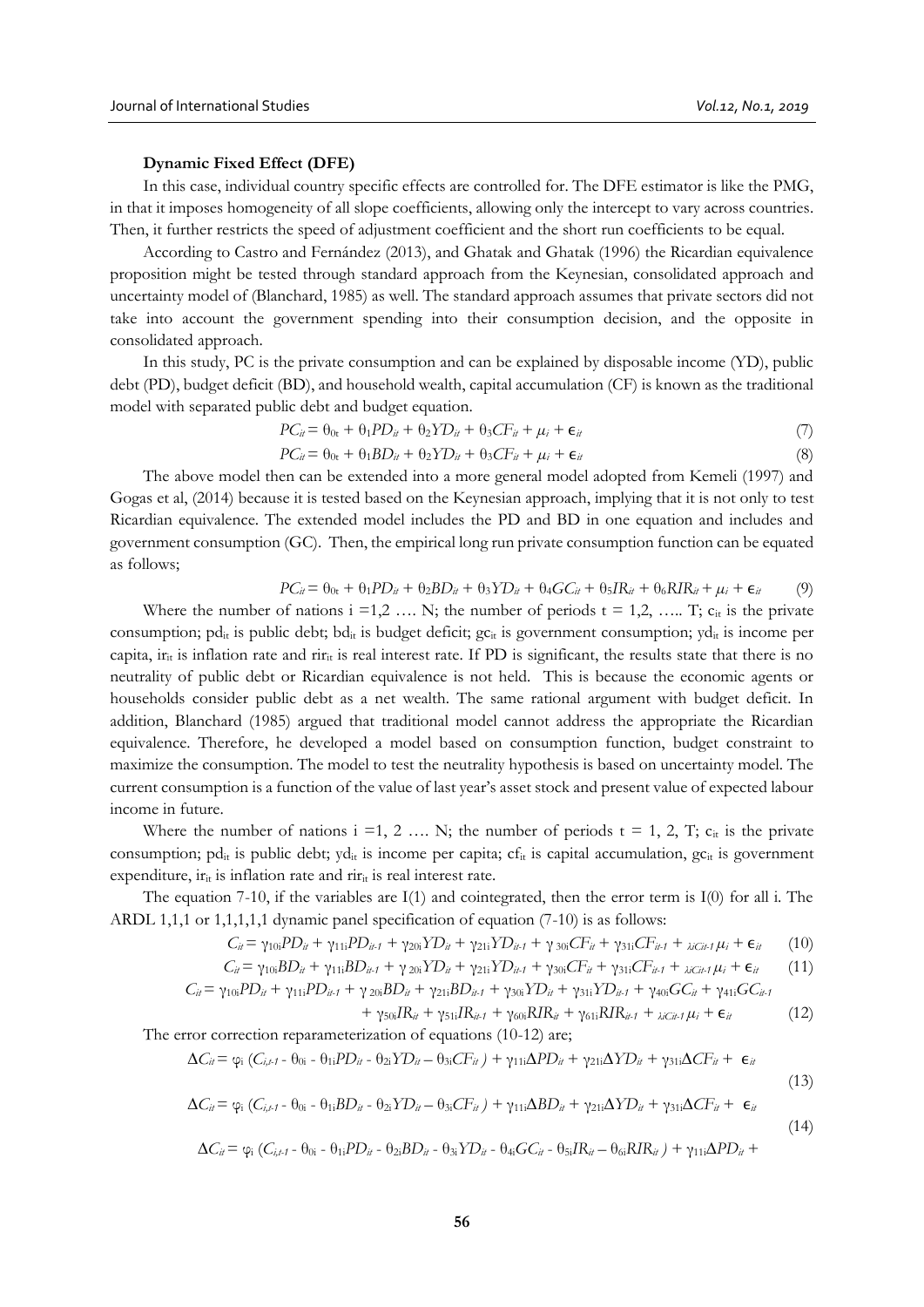#### **Dynamic Fixed Effect (DFE)**

In this case, individual country specific effects are controlled for. The DFE estimator is like the PMG, in that it imposes homogeneity of all slope coefficients, allowing only the intercept to vary across countries. Then, it further restricts the speed of adjustment coefficient and the short run coefficients to be equal.

According to Castro and Fernández (2013), and Ghatak and Ghatak (1996) the Ricardian equivalence proposition might be tested through standard approach from the Keynesian, consolidated approach and uncertainty model of (Blanchard, 1985) as well. The standard approach assumes that private sectors did not take into account the government spending into their consumption decision, and the opposite in consolidated approach.

In this study, PC is the private consumption and can be explained by disposable income (YD), public debt (PD), budget deficit (BD), and household wealth, capital accumulation (CF) is known as the traditional model with separated public debt and budget equation.

$$
PC_{it} = \theta_{0t} + \theta_1 PD_{it} + \theta_2 Y D_{it} + \theta_3 CF_{it} + \mu_i + \epsilon_{it}
$$
\n<sup>(7)</sup>

$$
PC_{it} = \theta_{0t} + \theta_1 BD_{it} + \theta_2 Y D_{it} + \theta_3 CF_{it} + \mu_i + \epsilon_{it}
$$
\n(8)

The above model then can be extended into a more general model adopted from Kemeli (1997) and Gogas et al, (2014) because it is tested based on the Keynesian approach, implying that it is not only to test Ricardian equivalence. The extended model includes the PD and BD in one equation and includes and government consumption (GC). Then, the empirical long run private consumption function can be equated as follows;

$$
PC_{it} = \theta_{0t} + \theta_1 PD_{it} + \theta_2 BD_{it} + \theta_3 YD_{it} + \theta_4 GC_{it} + \theta_5 IR_{it} + \theta_6 RIR_{it} + \mu_i + \epsilon_{it}
$$
(9)

Where the number of nations  $i = 1,2, \ldots N$ ; the number of periods  $t = 1,2, \ldots T$ ;  $c_{it}$  is the private consumption;  $pd_{it}$  is public debt;  $bd_{it}$  is budget deficit;  $gc_{it}$  is government consumption;  $yd_{it}$  is income per capita, ir<sub>it</sub> is inflation rate and rir<sub>it</sub> is real interest rate. If PD is significant, the results state that there is no neutrality of public debt or Ricardian equivalence is not held. This is because the economic agents or households consider public debt as a net wealth. The same rational argument with budget deficit. In addition, Blanchard (1985) argued that traditional model cannot address the appropriate the Ricardian equivalence. Therefore, he developed a model based on consumption function, budget constraint to maximize the consumption. The model to test the neutrality hypothesis is based on uncertainty model. The current consumption is a function of the value of last year's asset stock and present value of expected labour income in future.

Where the number of nations  $i = 1, 2, \ldots N$ ; the number of periods  $t = 1, 2, T$ ;  $c_{it}$  is the private consumption;  $pd_{it}$  is public debt;  $yd_{it}$  is income per capita; cf<sub>it</sub> is capital accumulation,  $gc_{it}$  is government expenditure,  $ir_{it}$  is inflation rate and  $rir_{it}$  is real interest rate.

The equation 7-10, if the variables are  $I(1)$  and cointegrated, then the error term is  $I(0)$  for all i. The ARDL 1,1,1 or 1,1,1,1,1 dynamic panel specification of equation  $(7-10)$  is as follows:

$$
C_{it} = \gamma_{10i}PD_{it} + \gamma_{11i}PD_{it-1} + \gamma_{20i}YD_{it} + \gamma_{21i}YD_{it-1} + \gamma_{30i}CF_{it} + \gamma_{31i}CF_{it-1} + \lambda_{i\text{Cit-1}}\mu_i + \epsilon_{it} \tag{10}
$$

$$
C_{ii} = \gamma_{10i} BD_{ii} + \gamma_{11i} BD_{ii} + \gamma_{20i} YD_{ii} + \gamma_{21i} YD_{ii} + \gamma_{30i} CF_{ii} + \gamma_{31i} CF_{ii} + \lambda_{i} C_{ii} + \mu_i + \epsilon_{ii}
$$
 (11)

$$
C_{ii} = \gamma_{10i}PD_{it} + \gamma_{11i}PD_{it-1} + \gamma_{20i}BD_{it} + \gamma_{21i}BD_{it-1} + \gamma_{30i}YD_{it} + \gamma_{31i}YD_{it-1} + \gamma_{40i}GC_{it} + \gamma_{41i}GC_{it-1}
$$

$$
+ \gamma_{50i}IR_{it} + \gamma_{51i}IR_{it-1} + \gamma_{60i}RIR_{it} + \gamma_{61i}RIR_{it-1} + \lambda_{i}C_{it-1}\mu_i + \epsilon_{it}
$$
(12)

The error correction reparameterization of equations (10-12) are;

$$
\Delta C_{it} = \varphi_i \left( C_{i,t-1} - \theta_{0i} - \theta_{1i} PD_{it} - \theta_{2i} YD_{it} - \theta_{3i} CF_{it} \right) + \gamma_{11i} \Delta PD_{it} + \gamma_{21i} \Delta YD_{it} + \gamma_{31i} \Delta CF_{it} + \epsilon_{it}
$$

$$
\Delta C_{ii} = \varphi_i \left( C_{i,t-1} - \theta_{0i} - \theta_{1i} BD_{ii} - \theta_{2i} Y D_{ii} - \theta_{3i} CF_{ii} \right) + \gamma_{11i} \Delta BD_{ii} + \gamma_{21i} \Delta Y D_{ii} + \gamma_{31i} \Delta CF_{ii} + \epsilon_{ii}
$$
\n
$$
(13)
$$

$$
\Delta C_{ii} = \varphi_i \left( C_{i,t-1} - \theta_{0i} - \theta_{1i} P D_{ii} - \theta_{2i} B D_{ii} - \theta_{3i} Y D_{ii} - \theta_{4i} G C_{ii} - \theta_{5i} I R_{ii} - \theta_{6i} R I R_{ii} \right) + \gamma_{11i} \Delta P D_{ii} +
$$
\n(14)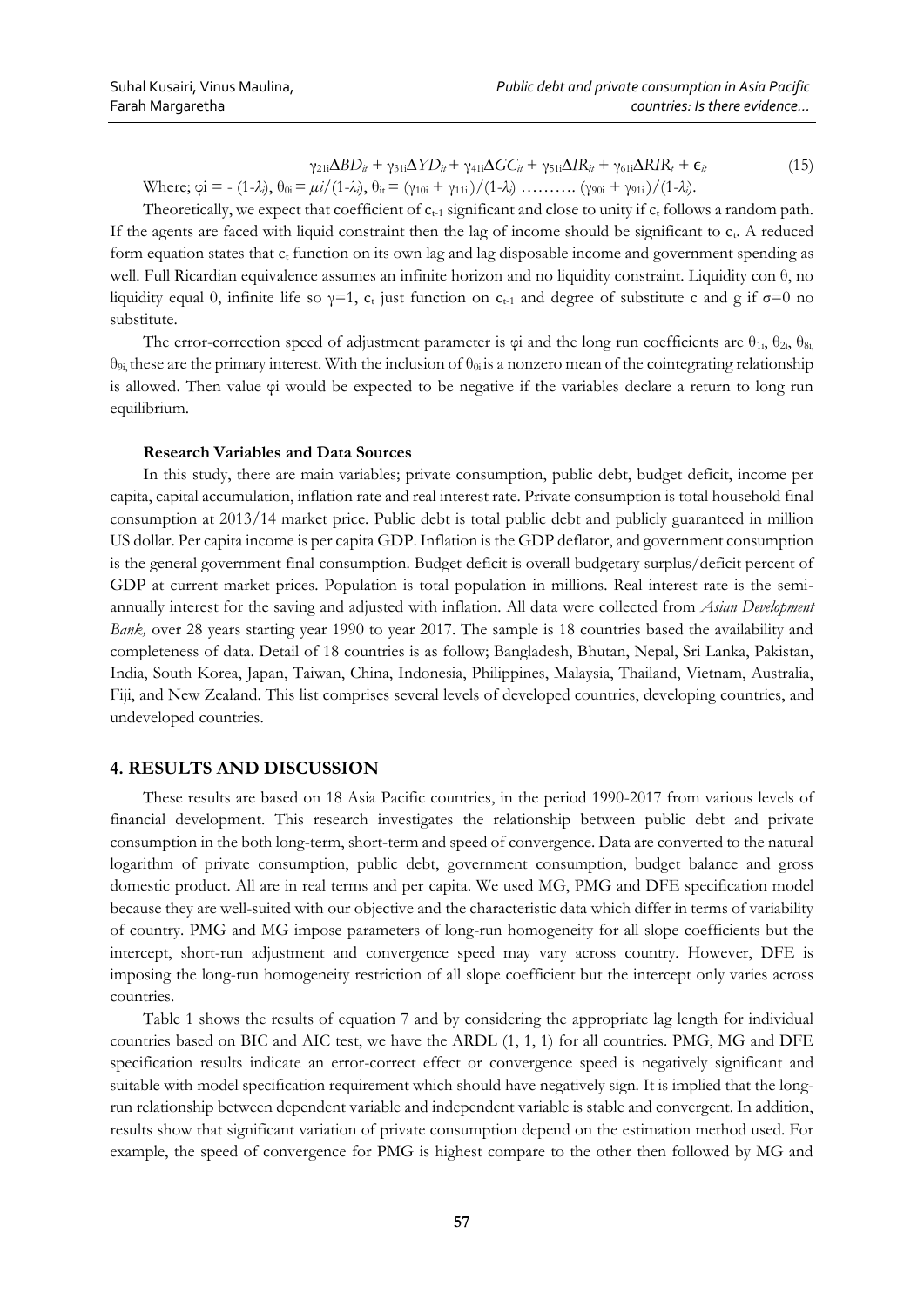$$
\gamma_{21i}\Delta BD_{it} + \gamma_{31i}\Delta YD_{it} + \gamma_{41i}\Delta GC_{it} + \gamma_{51i}\Delta IR_{it} + \gamma_{61i}\Delta RIR_{t} + \epsilon_{it}
$$
\n(15)

Where;  $\varphi$ **i** = - (1-*λi*),  $\theta_{0i} = \mu i/(1-\lambda i)$ ,  $\theta_{it} = (\gamma_{10i} + \gamma_{11i})/(1-\lambda i)$  … ....... (γ90*i* + γ91*i*)/(1-*λi*).

Theoretically, we expect that coefficient of  $c_{t-1}$  significant and close to unity if  $c_t$  follows a random path. If the agents are faced with liquid constraint then the lag of income should be significant to  $c_t$ . A reduced form equation states that  $c_t$  function on its own lag and lag disposable income and government spending as well. Full Ricardian equivalence assumes an infinite horizon and no liquidity constraint. Liquidity con θ, no liquidity equal 0, infinite life so  $\gamma=1$ , c<sub>t</sub> just function on c<sub>t-1</sub> and degree of substitute c and g if  $\sigma=0$  no substitute.

The error-correction speed of adjustment parameter is  $\varphi$ i and the long run coefficients are  $\theta_{1i}$ ,  $\theta_{2i}$ ,  $\theta_{8i}$ ,  $θ_{9i}$ , these are the primary interest. With the inclusion of  $θ_{0i}$  is a nonzero mean of the cointegrating relationship is allowed. Then value φi would be expected to be negative if the variables declare a return to long run equilibrium.

#### **Research Variables and Data Sources**

In this study, there are main variables; private consumption, public debt, budget deficit, income per capita, capital accumulation, inflation rate and real interest rate. Private consumption is total household final consumption at 2013/14 market price. Public debt is total public debt and publicly guaranteed in million US dollar. Per capita income is per capita GDP. Inflation is the GDP deflator, and government consumption is the general government final consumption. Budget deficit is overall budgetary surplus/deficit percent of GDP at current market prices. Population is total population in millions. Real interest rate is the semiannually interest for the saving and adjusted with inflation. All data were collected from *Asian Development Bank,* over 28 years starting year 1990 to year 2017. The sample is 18 countries based the availability and completeness of data. Detail of 18 countries is as follow; Bangladesh, Bhutan, Nepal, Sri Lanka, Pakistan, India, South Korea, Japan, Taiwan, China, Indonesia, Philippines, Malaysia, Thailand, Vietnam, Australia, Fiji, and New Zealand. This list comprises several levels of developed countries, developing countries, and undeveloped countries.

# **4. RESULTS AND DISCUSSION**

These results are based on 18 Asia Pacific countries, in the period 1990-2017 from various levels of financial development. This research investigates the relationship between public debt and private consumption in the both long-term, short-term and speed of convergence. Data are converted to the natural logarithm of private consumption, public debt, government consumption, budget balance and gross domestic product. All are in real terms and per capita. We used MG, PMG and DFE specification model because they are well-suited with our objective and the characteristic data which differ in terms of variability of country. PMG and MG impose parameters of long-run homogeneity for all slope coefficients but the intercept, short-run adjustment and convergence speed may vary across country. However, DFE is imposing the long-run homogeneity restriction of all slope coefficient but the intercept only varies across countries.

Table 1 shows the results of equation 7 and by considering the appropriate lag length for individual countries based on BIC and AIC test, we have the ARDL (1, 1, 1) for all countries. PMG, MG and DFE specification results indicate an error-correct effect or convergence speed is negatively significant and suitable with model specification requirement which should have negatively sign. It is implied that the longrun relationship between dependent variable and independent variable is stable and convergent. In addition, results show that significant variation of private consumption depend on the estimation method used. For example, the speed of convergence for PMG is highest compare to the other then followed by MG and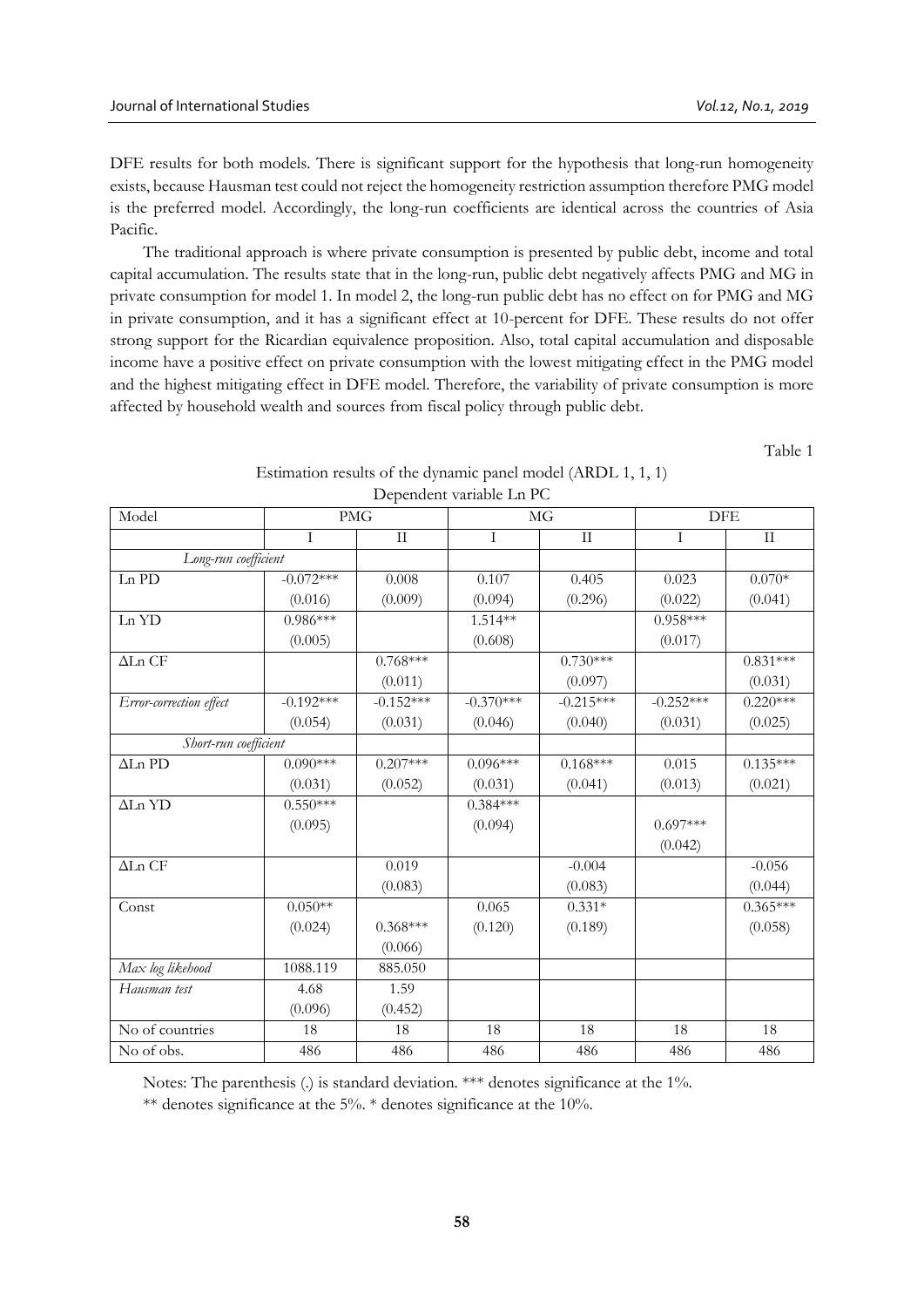DFE results for both models. There is significant support for the hypothesis that long-run homogeneity exists, because Hausman test could not reject the homogeneity restriction assumption therefore PMG model is the preferred model. Accordingly, the long-run coefficients are identical across the countries of Asia Pacific.

The traditional approach is where private consumption is presented by public debt, income and total capital accumulation. The results state that in the long-run, public debt negatively affects PMG and MG in private consumption for model 1. In model 2, the long-run public debt has no effect on for PMG and MG in private consumption, and it has a significant effect at 10-percent for DFE. These results do not offer strong support for the Ricardian equivalence proposition. Also, total capital accumulation and disposable income have a positive effect on private consumption with the lowest mitigating effect in the PMG model and the highest mitigating effect in DFE model. Therefore, the variability of private consumption is more affected by household wealth and sources from fiscal policy through public debt.

Table 1

| Model                        |             | <b>PMG</b>          |             | $\rm MG$     | <b>DFE</b>  |              |
|------------------------------|-------------|---------------------|-------------|--------------|-------------|--------------|
|                              | T           | $\overline{\rm II}$ | T           | $\mathbf{I}$ | $\mathbf I$ | $\mathbf{I}$ |
| Long-run coefficient         |             |                     |             |              |             |              |
| Ln PD                        | $-0.072***$ | 0.008               | 0.107       | 0.405        | 0.023       | $0.070*$     |
|                              | (0.016)     | (0.009)             | (0.094)     | (0.296)      | (0.022)     | (0.041)      |
| Ln YD                        | $0.986***$  |                     | $1.514**$   |              | $0.958***$  |              |
|                              | (0.005)     |                     | (0.608)     |              | (0.017)     |              |
| $\Delta$ Ln CF               |             | $0.768***$          |             | $0.730***$   |             | $0.831***$   |
|                              |             | (0.011)             |             | (0.097)      |             | (0.031)      |
| Error-correction effect      | $-0.192***$ | $-0.152***$         | $-0.370***$ | $-0.215***$  | $-0.252***$ | $0.220***$   |
|                              | (0.054)     | (0.031)             | (0.046)     | (0.040)      | (0.031)     | (0.025)      |
| Short-run coefficient        |             |                     |             |              |             |              |
| $\Delta$ Ln P $\overline{D}$ | $0.090***$  | $0.207***$          | $0.096***$  | $0.168***$   | 0.015       | $0.135***$   |
|                              | (0.031)     | (0.052)             | (0.031)     | (0.041)      | (0.013)     | (0.021)      |
| $\Delta$ Ln YD               | $0.550***$  |                     | $0.384***$  |              |             |              |
|                              | (0.095)     |                     | (0.094)     |              | $0.697***$  |              |
|                              |             |                     |             |              | (0.042)     |              |
| $\Delta$ Ln CF               |             | 0.019               |             | $-0.004$     |             | $-0.056$     |
|                              |             | (0.083)             |             | (0.083)      |             | (0.044)      |
| Const                        | $0.050**$   |                     | 0.065       | $0.331*$     |             | $0.365***$   |
|                              | (0.024)     | $0.368***$          | (0.120)     | (0.189)      |             | (0.058)      |
|                              |             | (0.066)             |             |              |             |              |
| Max log likehood             | 1088.119    | 885.050             |             |              |             |              |
| Hausman test                 | 4.68        | 1.59                |             |              |             |              |
|                              | (0.096)     | (0.452)             |             |              |             |              |
| No of countries              | 18          | 18                  | 18          | 18           | 18          | 18           |
| No of obs.                   | 486         | 486                 | 486         | 486          | 486         | 486          |

| Estimation results of the dynamic panel model (ARDL 1, 1, 1) |                          |  |  |
|--------------------------------------------------------------|--------------------------|--|--|
|                                                              | Dependent variable Ln PC |  |  |

Notes: The parenthesis (.) is standard deviation. \*\*\* denotes significance at the 1%.

\*\* denotes significance at the 5%. \* denotes significance at the 10%.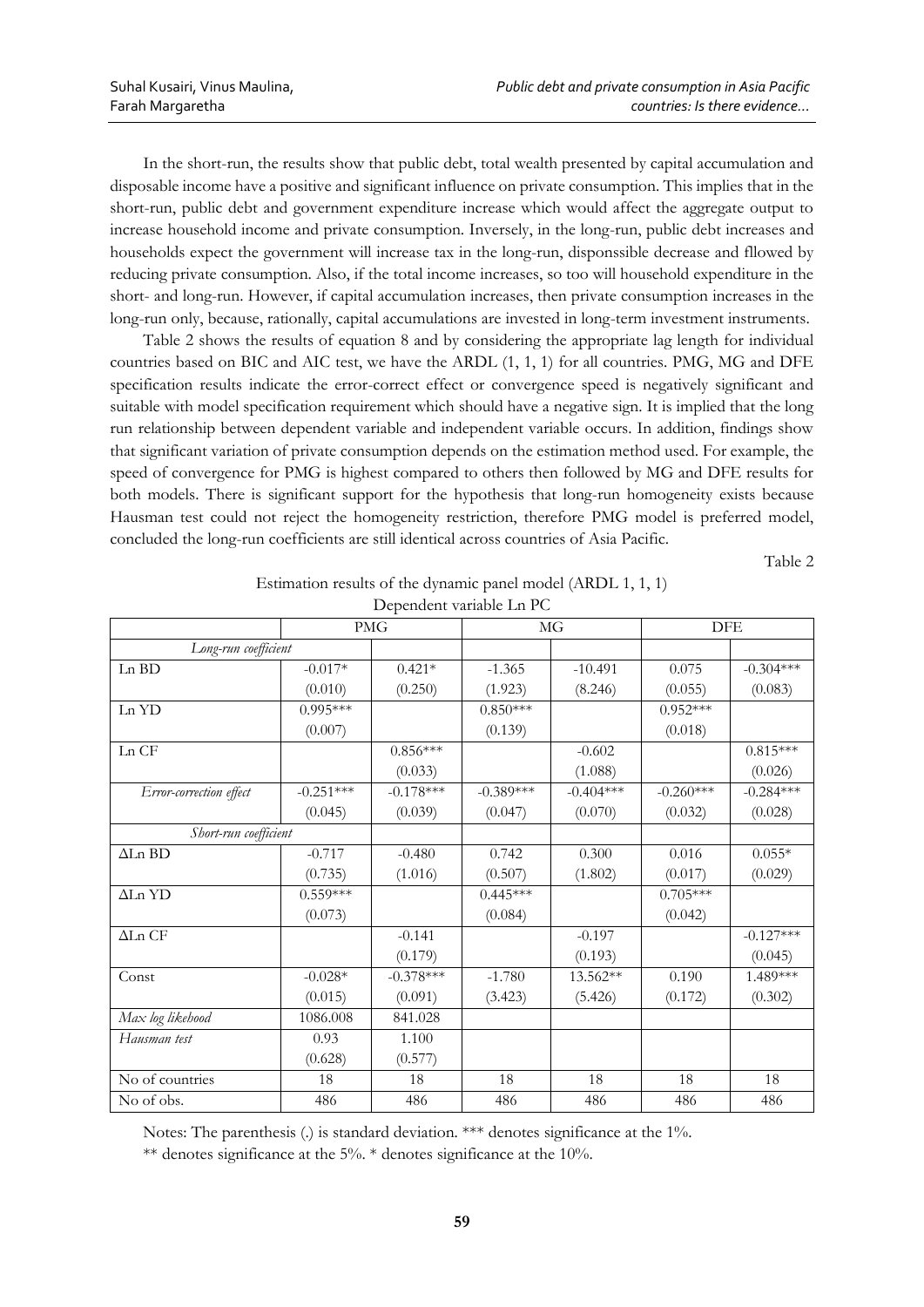In the short-run, the results show that public debt, total wealth presented by capital accumulation and disposable income have a positive and significant influence on private consumption. This implies that in the short-run, public debt and government expenditure increase which would affect the aggregate output to increase household income and private consumption. Inversely, in the long-run, public debt increases and households expect the government will increase tax in the long-run, disponssible decrease and fllowed by reducing private consumption. Also, if the total income increases, so too will household expenditure in the short- and long-run. However, if capital accumulation increases, then private consumption increases in the long-run only, because, rationally, capital accumulations are invested in long-term investment instruments.

Table 2 shows the results of equation 8 and by considering the appropriate lag length for individual countries based on BIC and AIC test, we have the ARDL (1, 1, 1) for all countries. PMG, MG and DFE specification results indicate the error-correct effect or convergence speed is negatively significant and suitable with model specification requirement which should have a negative sign. It is implied that the long run relationship between dependent variable and independent variable occurs. In addition, findings show that significant variation of private consumption depends on the estimation method used. For example, the speed of convergence for PMG is highest compared to others then followed by MG and DFE results for both models. There is significant support for the hypothesis that long-run homogeneity exists because Hausman test could not reject the homogeneity restriction, therefore PMG model is preferred model, concluded the long-run coefficients are still identical across countries of Asia Pacific.

Table 2

|                         |             |             | Dependent variable Ln PC |             |             |             |  |
|-------------------------|-------------|-------------|--------------------------|-------------|-------------|-------------|--|
|                         |             | <b>PMG</b>  | MG                       |             | <b>DFE</b>  |             |  |
| Long-run coefficient    |             |             |                          |             |             |             |  |
| Ln BD                   | $-0.017*$   | $0.421*$    | $-1.365$                 | $-10.491$   | 0.075       | $-0.304***$ |  |
|                         | (0.010)     | (0.250)     | (1.923)                  | (8.246)     | (0.055)     | (0.083)     |  |
| Ln YD                   | $0.995***$  |             | $0.850***$               |             | $0.952***$  |             |  |
|                         | (0.007)     |             | (0.139)                  |             | (0.018)     |             |  |
| Ln CF                   |             | $0.856***$  |                          | $-0.602$    |             | $0.815***$  |  |
|                         |             | (0.033)     |                          | (1.088)     |             | (0.026)     |  |
| Error-correction effect | $-0.251***$ | $-0.178***$ | $-0.389***$              | $-0.404***$ | $-0.260***$ | $-0.284***$ |  |
|                         | (0.045)     | (0.039)     | (0.047)                  | (0.070)     | (0.032)     | (0.028)     |  |
| Short-run coefficient   |             |             |                          |             |             |             |  |
| $\Delta$ Ln BD          | $-0.717$    | $-0.480$    | 0.742                    | 0.300       | 0.016       | $0.055*$    |  |
|                         | (0.735)     | (1.016)     | (0.507)                  | (1.802)     | (0.017)     | (0.029)     |  |
| $\Delta$ Ln YD          | $0.559***$  |             | $0.445***$               |             | $0.705***$  |             |  |
|                         | (0.073)     |             | (0.084)                  |             | (0.042)     |             |  |
| $\Delta$ Ln CF          |             | $-0.141$    |                          | $-0.197$    |             | $-0.127***$ |  |
|                         |             | (0.179)     |                          | (0.193)     |             | (0.045)     |  |
| Const                   | $-0.028*$   | $-0.378***$ | $-1.780$                 | 13.562**    | 0.190       | 1.489***    |  |
|                         | (0.015)     | (0.091)     | (3.423)                  | (5.426)     | (0.172)     | (0.302)     |  |
| Max log likehood        | 1086.008    | 841.028     |                          |             |             |             |  |
| Hausman test            | 0.93        | 1.100       |                          |             |             |             |  |
|                         | (0.628)     | (0.577)     |                          |             |             |             |  |
| No of countries         | 18          | 18          | 18                       | 18          | 18          | 18          |  |
| No of obs.              | 486         | 486         | 486                      | 486         | 486         | 486         |  |

| Estimation results of the dynamic panel model (ARDL 1, 1, 1) |  |  |  |  |  |  |  |  |
|--------------------------------------------------------------|--|--|--|--|--|--|--|--|
|--------------------------------------------------------------|--|--|--|--|--|--|--|--|

Notes: The parenthesis (.) is standard deviation. \*\*\* denotes significance at the 1%.

\*\* denotes significance at the  $5\%$ . \* denotes significance at the  $10\%$ .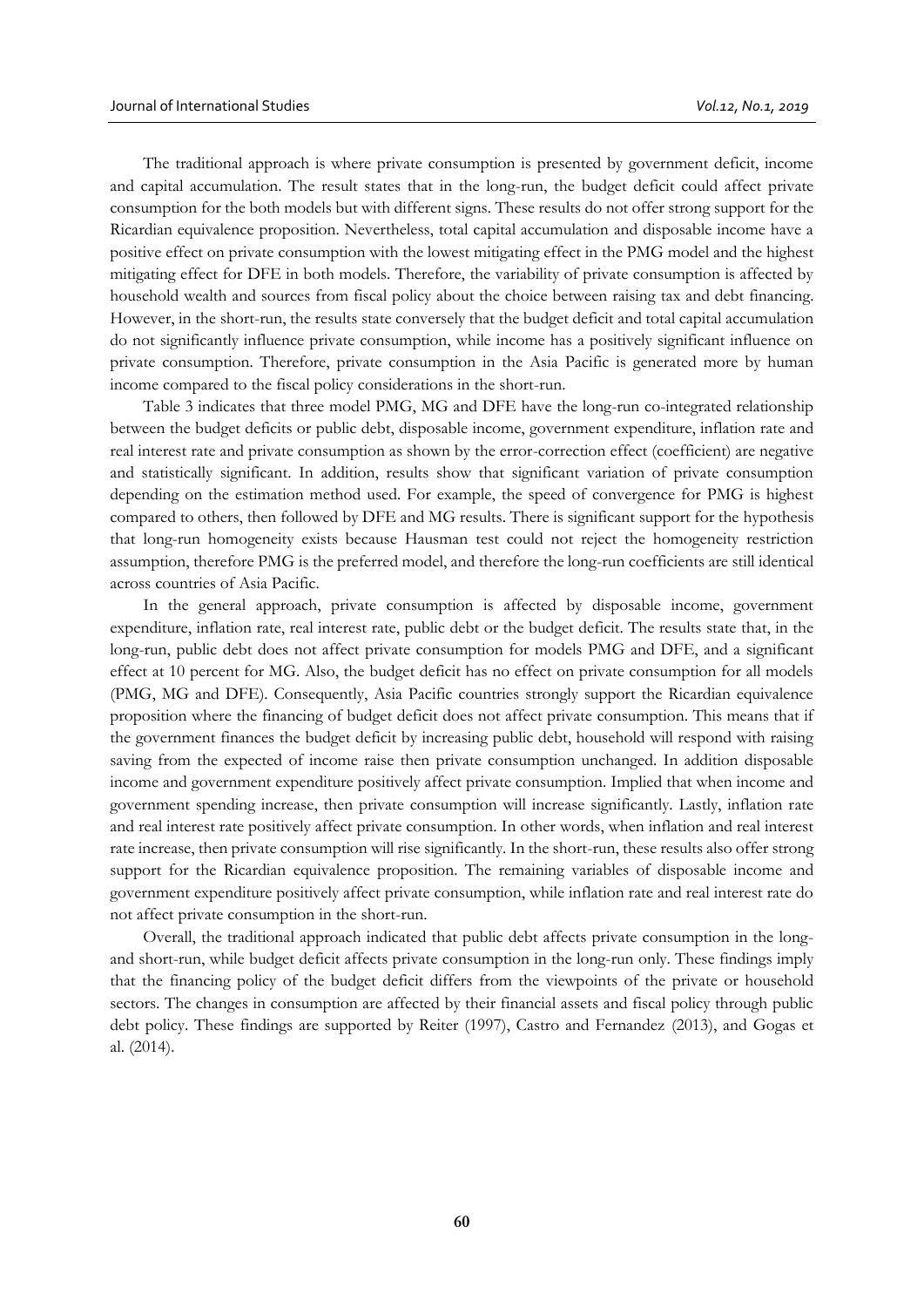The traditional approach is where private consumption is presented by government deficit, income and capital accumulation. The result states that in the long-run, the budget deficit could affect private consumption for the both models but with different signs. These results do not offer strong support for the Ricardian equivalence proposition. Nevertheless, total capital accumulation and disposable income have a positive effect on private consumption with the lowest mitigating effect in the PMG model and the highest mitigating effect for DFE in both models. Therefore, the variability of private consumption is affected by household wealth and sources from fiscal policy about the choice between raising tax and debt financing. However, in the short-run, the results state conversely that the budget deficit and total capital accumulation do not significantly influence private consumption, while income has a positively significant influence on private consumption. Therefore, private consumption in the Asia Pacific is generated more by human income compared to the fiscal policy considerations in the short-run.

Table 3 indicates that three model PMG, MG and DFE have the long-run co-integrated relationship between the budget deficits or public debt, disposable income, government expenditure, inflation rate and real interest rate and private consumption as shown by the error-correction effect (coefficient) are negative and statistically significant. In addition, results show that significant variation of private consumption depending on the estimation method used. For example, the speed of convergence for PMG is highest compared to others, then followed by DFE and MG results. There is significant support for the hypothesis that long-run homogeneity exists because Hausman test could not reject the homogeneity restriction assumption, therefore PMG is the preferred model, and therefore the long-run coefficients are still identical across countries of Asia Pacific.

In the general approach, private consumption is affected by disposable income, government expenditure, inflation rate, real interest rate, public debt or the budget deficit. The results state that, in the long-run, public debt does not affect private consumption for models PMG and DFE, and a significant effect at 10 percent for MG. Also, the budget deficit has no effect on private consumption for all models (PMG, MG and DFE). Consequently, Asia Pacific countries strongly support the Ricardian equivalence proposition where the financing of budget deficit does not affect private consumption. This means that if the government finances the budget deficit by increasing public debt, household will respond with raising saving from the expected of income raise then private consumption unchanged. In addition disposable income and government expenditure positively affect private consumption. Implied that when income and government spending increase, then private consumption will increase significantly. Lastly, inflation rate and real interest rate positively affect private consumption. In other words, when inflation and real interest rate increase, then private consumption will rise significantly. In the short-run, these results also offer strong support for the Ricardian equivalence proposition. The remaining variables of disposable income and government expenditure positively affect private consumption, while inflation rate and real interest rate do not affect private consumption in the short-run.

Overall, the traditional approach indicated that public debt affects private consumption in the longand short-run, while budget deficit affects private consumption in the long-run only. These findings imply that the financing policy of the budget deficit differs from the viewpoints of the private or household sectors. The changes in consumption are affected by their financial assets and fiscal policy through public debt policy. These findings are supported by Reiter (1997), Castro and Fernandez (2013), and Gogas et al. (2014).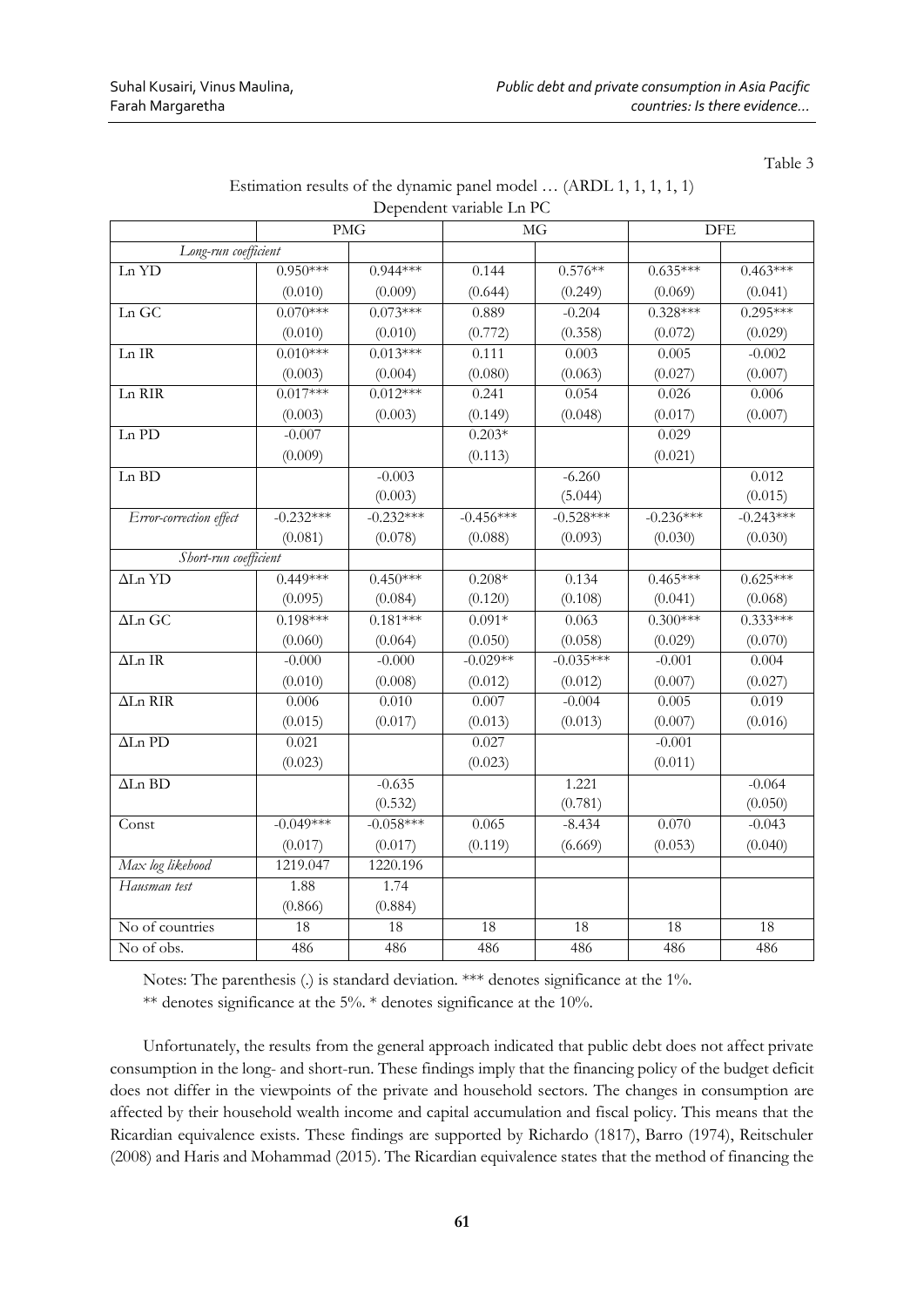| anje |  |
|------|--|
|------|--|

|                         |             |             | Dependent variable Ln PC |             |             |             |  |
|-------------------------|-------------|-------------|--------------------------|-------------|-------------|-------------|--|
|                         |             | <b>PMG</b>  |                          | МG          | DFE         |             |  |
| Long-run coefficient    |             |             |                          |             |             |             |  |
| Ln YD                   | $0.950***$  | $0.944***$  | 0.144                    | $0.576**$   | $0.635***$  | $0.463***$  |  |
|                         | (0.010)     | (0.009)     | (0.644)                  | (0.249)     | (0.069)     | (0.041)     |  |
| Ln GC                   | $0.070***$  | $0.073***$  | 0.889                    | $-0.204$    | $0.328***$  | $0.295***$  |  |
|                         | (0.010)     | (0.010)     | (0.772)                  | (0.358)     | (0.072)     | (0.029)     |  |
| Ln IR                   | $0.010***$  | $0.013***$  | 0.111                    | 0.003       | 0.005       | $-0.002$    |  |
|                         | (0.003)     | (0.004)     | (0.080)                  | (0.063)     | (0.027)     | (0.007)     |  |
| Ln RIR                  | $0.017***$  | $0.012***$  | 0.241                    | 0.054       | 0.026       | 0.006       |  |
|                         | (0.003)     | (0.003)     | (0.149)                  | (0.048)     | (0.017)     | (0.007)     |  |
| Ln PD                   | $-0.007$    |             | $0.203*$                 |             | 0.029       |             |  |
|                         | (0.009)     |             | (0.113)                  |             | (0.021)     |             |  |
| Ln BD                   |             | $-0.003$    |                          | $-6.260$    |             | 0.012       |  |
|                         |             | (0.003)     |                          | (5.044)     |             | (0.015)     |  |
| Error-correction effect | $-0.232***$ | $-0.232***$ | $-0.456***$              | $-0.528***$ | $-0.236***$ | $-0.243***$ |  |
|                         | (0.081)     | (0.078)     | (0.088)                  | (0.093)     | (0.030)     | (0.030)     |  |
| Short-run coefficient   |             |             |                          |             |             |             |  |
| $\Delta$ Ln YD          | $0.449***$  | $0.450***$  | $0.208*$                 | 0.134       | $0.465***$  | $0.625***$  |  |
|                         | (0.095)     | (0.084)     | (0.120)                  | (0.108)     | (0.041)     | (0.068)     |  |
| $\Delta$ Ln GC          | $0.198***$  | $0.181***$  | $0.091*$                 | 0.063       | $0.300***$  | $0.333***$  |  |
|                         | (0.060)     | (0.064)     | (0.050)                  | (0.058)     | (0.029)     | (0.070)     |  |
| $\Delta$ Ln IR          | $-0.000$    | $-0.000$    | $-0.029**$               | $-0.035***$ | $-0.001$    | 0.004       |  |
|                         | (0.010)     | (0.008)     | (0.012)                  | (0.012)     | (0.007)     | (0.027)     |  |
| ALn RIR                 | 0.006       | 0.010       | 0.007                    | $-0.004$    | 0.005       | 0.019       |  |
|                         | (0.015)     | (0.017)     | (0.013)                  | (0.013)     | (0.007)     | (0.016)     |  |
| $\Delta$ Ln PD          | 0.021       |             | 0.027                    |             | $-0.001$    |             |  |
|                         | (0.023)     |             | (0.023)                  |             | (0.011)     |             |  |
| $\Delta$ Ln BD          |             | $-0.635$    |                          | 1.221       |             | $-0.064$    |  |
|                         |             | (0.532)     |                          | (0.781)     |             | (0.050)     |  |
| Const                   | $-0.049***$ | $-0.058***$ | 0.065                    | $-8.434$    | 0.070       | $-0.043$    |  |
|                         | (0.017)     | (0.017)     | (0.119)                  | (6.669)     | (0.053)     | (0.040)     |  |
| Max log likehood        | 1219.047    | 1220.196    |                          |             |             |             |  |
| Hausman test            | 1.88        | 1.74        |                          |             |             |             |  |
|                         | (0.866)     | (0.884)     |                          |             |             |             |  |
| No of countries         | 18          | 18          | 18                       | 18          | 18          | 18          |  |
| No of obs.              | 486         | 486         | 486                      | 486         | 486         | 486         |  |

| Estimation results of the dynamic panel model $\ldots$ (ARDL 1, 1, 1, 1, 1) |  |  |                          |  |  |  |
|-----------------------------------------------------------------------------|--|--|--------------------------|--|--|--|
|                                                                             |  |  | Dependent variable Ln PC |  |  |  |

Notes: The parenthesis (.) is standard deviation. \*\*\* denotes significance at the 1%.

\*\* denotes significance at the 5%. \* denotes significance at the 10%.

Unfortunately, the results from the general approach indicated that public debt does not affect private consumption in the long- and short-run. These findings imply that the financing policy of the budget deficit does not differ in the viewpoints of the private and household sectors. The changes in consumption are affected by their household wealth income and capital accumulation and fiscal policy. This means that the Ricardian equivalence exists. These findings are supported by Richardo (1817), Barro (1974), Reitschuler (2008) and Haris and Mohammad (2015). The Ricardian equivalence states that the method of financing the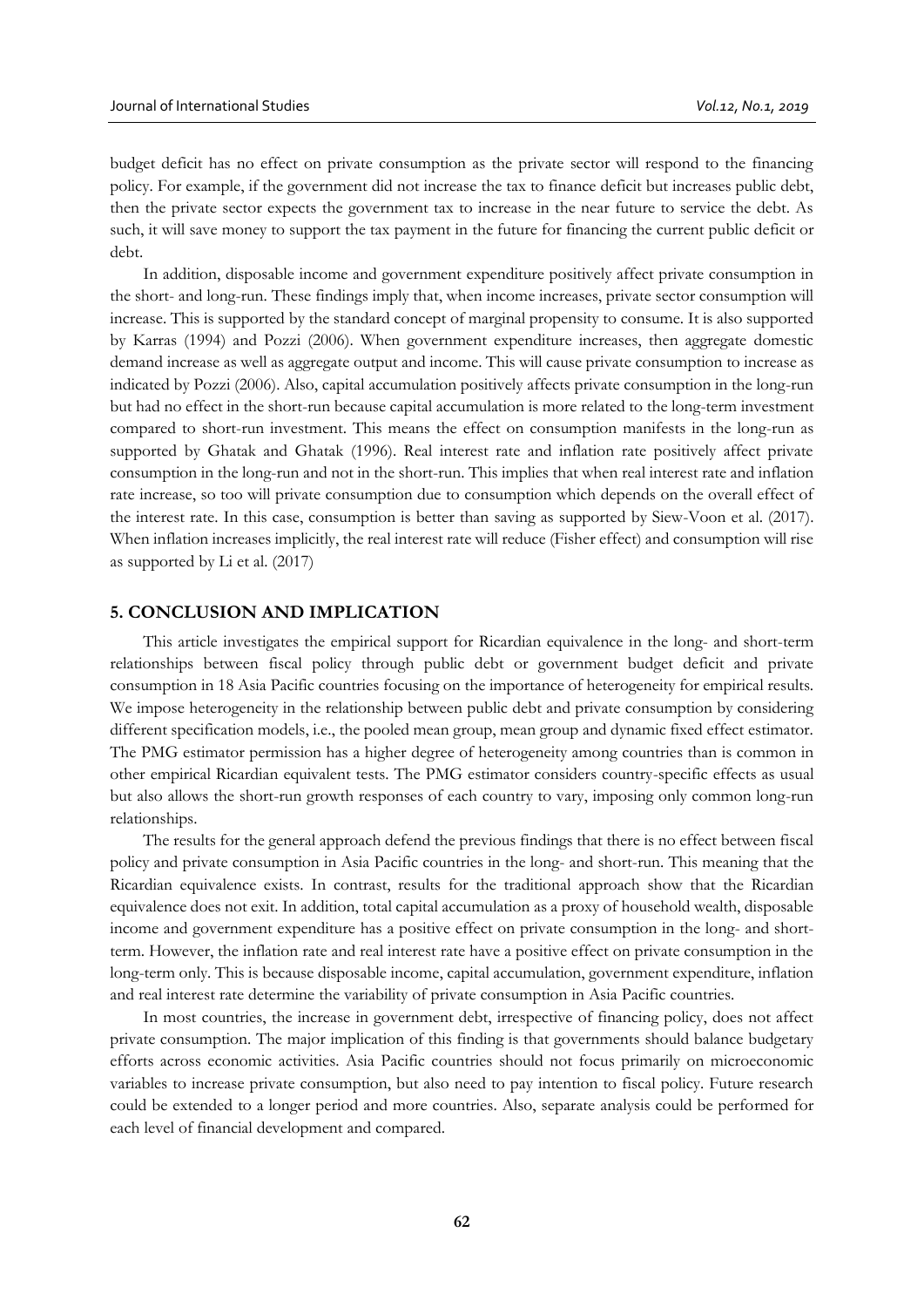budget deficit has no effect on private consumption as the private sector will respond to the financing policy. For example, if the government did not increase the tax to finance deficit but increases public debt, then the private sector expects the government tax to increase in the near future to service the debt. As such, it will save money to support the tax payment in the future for financing the current public deficit or debt.

In addition, disposable income and government expenditure positively affect private consumption in the short- and long-run. These findings imply that, when income increases, private sector consumption will increase. This is supported by the standard concept of marginal propensity to consume. It is also supported by Karras (1994) and Pozzi (2006). When government expenditure increases, then aggregate domestic demand increase as well as aggregate output and income. This will cause private consumption to increase as indicated by Pozzi (2006). Also, capital accumulation positively affects private consumption in the long-run but had no effect in the short-run because capital accumulation is more related to the long-term investment compared to short-run investment. This means the effect on consumption manifests in the long-run as supported by Ghatak and Ghatak (1996). Real interest rate and inflation rate positively affect private consumption in the long-run and not in the short-run. This implies that when real interest rate and inflation rate increase, so too will private consumption due to consumption which depends on the overall effect of the interest rate. In this case, consumption is better than saving as supported by Siew-Voon et al. (2017). When inflation increases implicitly, the real interest rate will reduce (Fisher effect) and consumption will rise as supported by Li et al. (2017)

#### **5. CONCLUSION AND IMPLICATION**

This article investigates the empirical support for Ricardian equivalence in the long- and short-term relationships between fiscal policy through public debt or government budget deficit and private consumption in 18 Asia Pacific countries focusing on the importance of heterogeneity for empirical results. We impose heterogeneity in the relationship between public debt and private consumption by considering different specification models, i.e., the pooled mean group, mean group and dynamic fixed effect estimator. The PMG estimator permission has a higher degree of heterogeneity among countries than is common in other empirical Ricardian equivalent tests. The PMG estimator considers country-specific effects as usual but also allows the short-run growth responses of each country to vary, imposing only common long-run relationships.

The results for the general approach defend the previous findings that there is no effect between fiscal policy and private consumption in Asia Pacific countries in the long- and short-run. This meaning that the Ricardian equivalence exists. In contrast, results for the traditional approach show that the Ricardian equivalence does not exit. In addition, total capital accumulation as a proxy of household wealth, disposable income and government expenditure has a positive effect on private consumption in the long- and shortterm. However, the inflation rate and real interest rate have a positive effect on private consumption in the long-term only. This is because disposable income, capital accumulation, government expenditure, inflation and real interest rate determine the variability of private consumption in Asia Pacific countries.

In most countries, the increase in government debt, irrespective of financing policy, does not affect private consumption. The major implication of this finding is that governments should balance budgetary efforts across economic activities. Asia Pacific countries should not focus primarily on microeconomic variables to increase private consumption, but also need to pay intention to fiscal policy. Future research could be extended to a longer period and more countries. Also, separate analysis could be performed for each level of financial development and compared.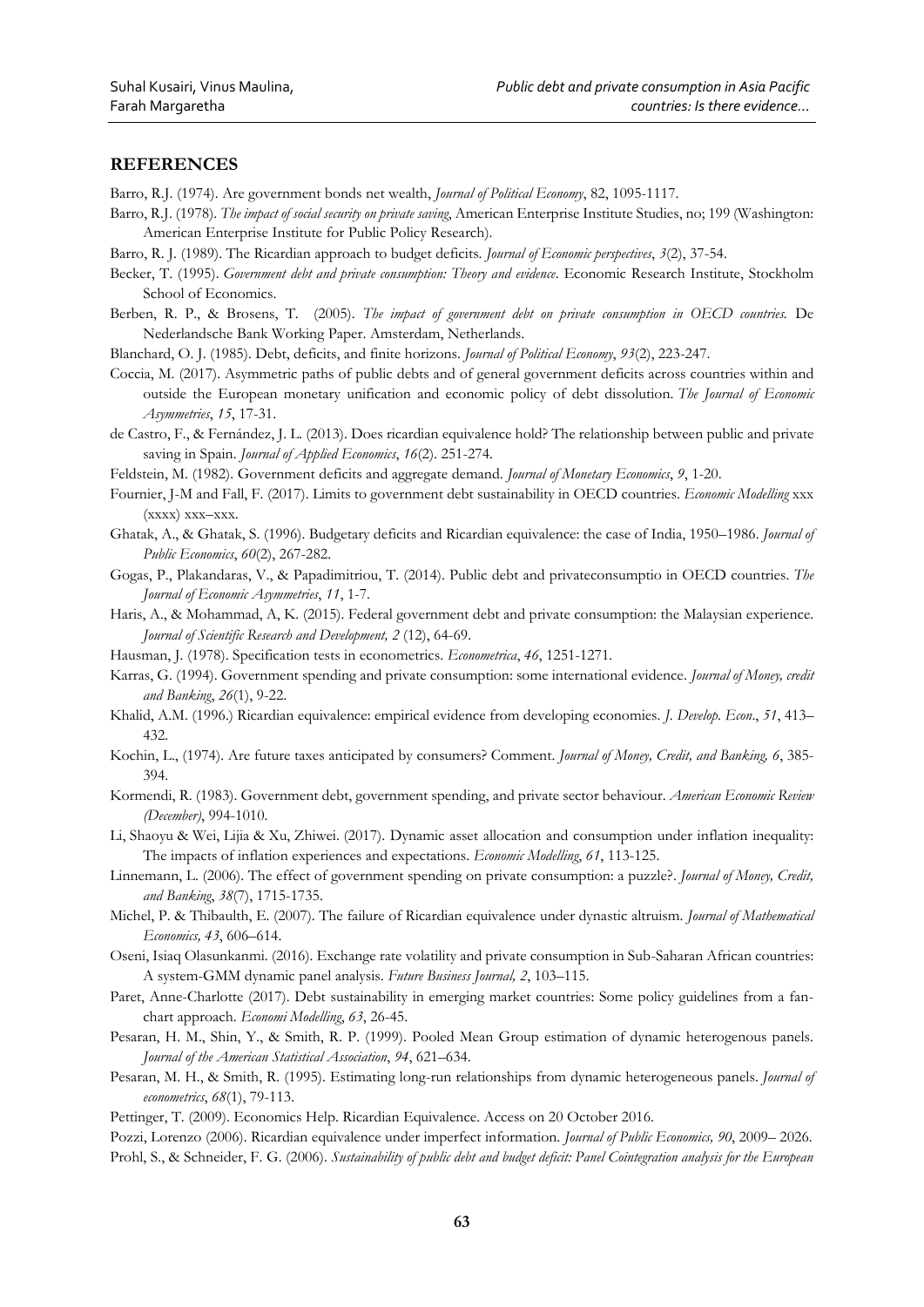## **REFERENCES**

- Barro, R.J. (1974). Are government bonds net wealth, *Journal of Political Economy*, 82, 1095-1117.
- Barro, R.J. (1978). *The impact of social security on private saving*, American Enterprise Institute Studies, no; 199 (Washington: American Enterprise Institute for Public Policy Research).
- Barro, R. J. (1989). The Ricardian approach to budget deficits. *Journal of Economic perspectives*, *3*(2), 37-54.
- Becker, T. (1995). *Government debt and private consumption: Theory and evidence*. Economic Research Institute, Stockholm School of Economics.
- Berben, R. P., & Brosens, T. (2005). *The impact of government debt on private consumption in OECD countries.* De Nederlandsche Bank Working Paper. Amsterdam, Netherlands.
- Blanchard, O. J. (1985). Debt, deficits, and finite horizons. *Journal of Political Economy*, *93*(2), 223-247.
- Coccia, M. (2017). Asymmetric paths of public debts and of general government deficits across countries within and outside the European monetary unification and economic policy of debt dissolution. *The Journal of Economic Asymmetries*, *15*, 17-31.
- de Castro, F., & Fernández, J. L. (2013). Does ricardian equivalence hold? The relationship between public and private saving in Spain. *Journal of Applied Economics*, *16*(2). 251-274.
- Feldstein, M. (1982). Government deficits and aggregate demand. *Journal of Monetary Economics*, *9*, 1-20.
- Fournier, J-M and Fall, F. (2017). Limits to government debt sustainability in OECD countries. *Economic Modelling* xxx (xxxx) xxx–xxx.
- Ghatak, A., & Ghatak, S. (1996). Budgetary deficits and Ricardian equivalence: the case of India, 1950–1986. *Journal of Public Economics*, *60*(2), 267-282.
- Gogas, P., Plakandaras, V., & Papadimitriou, T. (2014). Public debt and privateconsumptio in OECD countries. *The Journal of Economic Asymmetries*, *11*, 1-7.
- Haris, A., & Mohammad, A, K. (2015). Federal government debt and private consumption: the Malaysian experience. *Journal of Scientific Research and Development, 2* (12), 64-69.
- Hausman, J. (1978). Specification tests in econometrics. *Econometrica*, *46*, 1251-1271.
- Karras, G. (1994). Government spending and private consumption: some international evidence. *Journal of Money, credit and Banking*, *26*(1), 9-22.
- Khalid, A.M. (1996.) Ricardian equivalence: empirical evidence from developing economies. *J. Develop. Econ*., *51*, 413– 432.
- Kochin, L., (1974). Are future taxes anticipated by consumers? Comment. *Journal of Money, Credit, and Banking, 6*, 385- 394.
- Kormendi, R. (1983). Government debt, government spending, and private sector behaviour. *American Economic Review (December)*, 994-1010.
- Li, Shaoyu & Wei, Lijia & Xu, Zhiwei. (2017). Dynamic asset allocation and consumption under inflation inequality: The impacts of inflation experiences and expectations. *Economic Modelling*, *61*, 113-125.
- Linnemann, L. (2006). The effect of government spending on private consumption: a puzzle?. *Journal of Money, Credit, and Banking*, *38*(7), 1715-1735.
- Michel, P. & Thibaulth, E. (2007). The failure of Ricardian equivalence under dynastic altruism. *Journal of Mathematical Economics, 43*, 606–614.
- Oseni, Isiaq Olasunkanmi. (2016). Exchange rate volatility and private consumption in Sub-Saharan African countries: A system-GMM dynamic panel analysis. *Future Business Journal, 2*, 103–115.
- Paret, Anne-Charlotte (2017). Debt sustainability in emerging market countries: Some policy guidelines from a fanchart approach. *Economi Modelling*, *63*, 26-45.
- Pesaran, H. M., Shin, Y., & Smith, R. P. (1999). Pooled Mean Group estimation of dynamic heterogenous panels. *Journal of the American Statistical Association*, *94*, 621–634.
- Pesaran, M. H., & Smith, R. (1995). Estimating long-run relationships from dynamic heterogeneous panels. *Journal of econometrics*, *68*(1), 79-113.
- Pettinger, T. (2009). Economics Help. Ricardian Equivalence. Access on 20 October 2016.
- Pozzi, Lorenzo (2006). Ricardian equivalence under imperfect information. *Journal of Public Economics, 90*, 2009– 2026.
- Prohl, S., & Schneider, F. G. (2006). *Sustainability of public debt and budget deficit: Panel Cointegration analysis for the European*